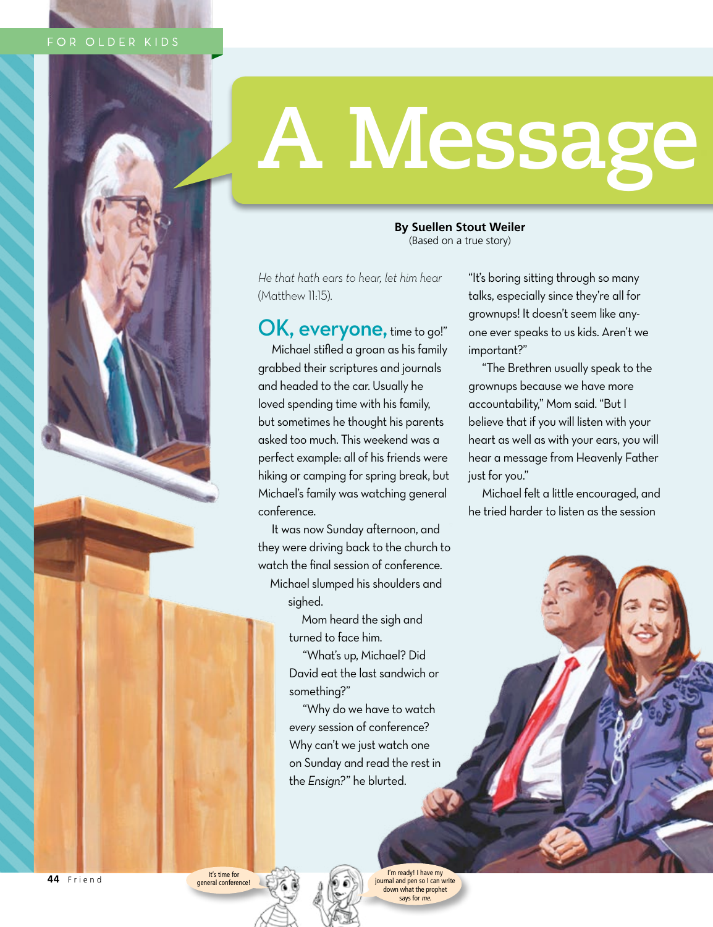## FOR OLDER KID



**By Suellen Stout Weiler** (Based on a true story)

*He that hath ears to hear, let him hear*  (Matthew 11:15).

OK, everyone, time to go!"

Michael stifled a groan as his family grabbed their scriptures and journals and headed to the car. Usually he loved spending time with his family, but sometimes he thought his parents asked too much. This weekend was a perfect example: all of his friends were hiking or camping for spring break, but Michael's family was watching general conference.

It was now Sunday afternoon, and they were driving back to the church to watch the final session of conference. Michael slumped his shoulders and

sighed.

Mom heard the sigh and turned to face him.

"What's up, Michael? Did David eat the last sandwich or something?"

"Why do we have to watch *every* session of conference? Why can't we just watch one on Sunday and read the rest in the *Ensign?* " he blurted.

"It's boring sitting through so many talks, especially since they're all for grownups! It doesn't seem like anyone ever speaks to us kids. Aren't we important?"

"The Brethren usually speak to the grownups because we have more accountability," Mom said. "But I believe that if you will listen with your heart as well as with your ears, you will hear a message from Heavenly Father just for you."

Michael felt a little encouraged, and he tried harder to listen as the session

It's time for general conference!

I'm ready! I have my journal and pen so I can write down what the prophet says for *me.*